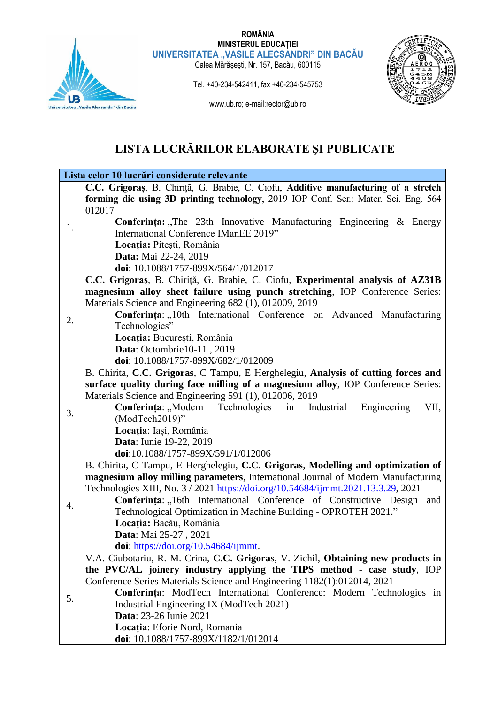

## **ROMÂNIA MINISTERUL EDUCAȚIEI** UNIVERSITATEA "VASILE ALECSANDRI" DIN BACAU

Calea Mărăşeşti, Nr. 157, Bacău, 600115



Tel. +40-234-542411, fax +40-234-545753 www.ub.ro; e-mail:rector@ub.ro

# **LISTA LUCRĂRILOR ELABORATE ŞI PUBLICATE**

|    | Lista celor 10 lucrări considerate relevante                                        |
|----|-------------------------------------------------------------------------------------|
|    | C.C. Grigoraș, B. Chiriță, G. Brabie, C. Ciofu, Additive manufacturing of a stretch |
| 1. | forming die using 3D printing technology, 2019 IOP Conf. Ser.: Mater. Sci. Eng. 564 |
|    | 012017                                                                              |
|    | Conferința: "The 23th Innovative Manufacturing Engineering & Energy                 |
|    | International Conference IManEE 2019"                                               |
|    | Locația: Pitești, România                                                           |
|    | Data: Mai 22-24, 2019                                                               |
|    | doi: 10.1088/1757-899X/564/1/012017                                                 |
| 2. | C.C. Grigoraș, B. Chiriță, G. Brabie, C. Ciofu, Experimental analysis of AZ31B      |
|    | magnesium alloy sheet failure using punch stretching, IOP Conference Series:        |
|    | Materials Science and Engineering 682 (1), 012009, 2019                             |
|    | Conferința: "10th International Conference on Advanced Manufacturing                |
|    | Technologies"                                                                       |
|    | Locația: București, România                                                         |
|    | Data: Octombrie10-11, 2019                                                          |
|    | doi: 10.1088/1757-899X/682/1/012009                                                 |
|    | B. Chirita, C.C. Grigoras, C Tampu, E Herghelegiu, Analysis of cutting forces and   |
|    | surface quality during face milling of a magnesium alloy, IOP Conference Series:    |
|    | Materials Science and Engineering 591 (1), 012006, 2019                             |
| 3. | Conferința: "Modern Technologies in Industrial<br>VII,<br>Engineering               |
|    | (ModTech2019)"                                                                      |
|    | Locația: Iași, România                                                              |
|    | <b>Data:</b> Iunie 19-22, 2019                                                      |
|    | doi:10.1088/1757-899X/591/1/012006                                                  |
|    | B. Chirita, C Tampu, E Herghelegiu, C.C. Grigoras, Modelling and optimization of    |
|    | magnesium alloy milling parameters, International Journal of Modern Manufacturing   |
|    | Technologies XIII, No. 3 / 2021 https://doi.org/10.54684/ijmmt.2021.13.3.29, 2021   |
| 4. | Conferința: "16th International Conference of Constructive Design and               |
|    | Technological Optimization in Machine Building - OPROTEH 2021."                     |
|    | Locația: Bacău, România                                                             |
|    | Data: Mai 25-27, 2021                                                               |
|    | doi: https://doi.org/10.54684/ijmmt.                                                |
|    | V.A. Ciubotariu, R. M. Crina, C.C. Grigoras, V. Zichil, Obtaining new products in   |
|    | the PVC/AL joinery industry applying the TIPS method - case study, IOP              |
| 5. | Conference Series Materials Science and Engineering 1182(1):012014, 2021            |
|    | Conferința: ModTech International Conference: Modern Technologies in                |
|    | Industrial Engineering IX (ModTech 2021)<br><b>Data: 23-26 Iunie 2021</b>           |
|    |                                                                                     |
|    | Locația: Eforie Nord, Romania                                                       |
|    | doi: 10.1088/1757-899X/1182/1/012014                                                |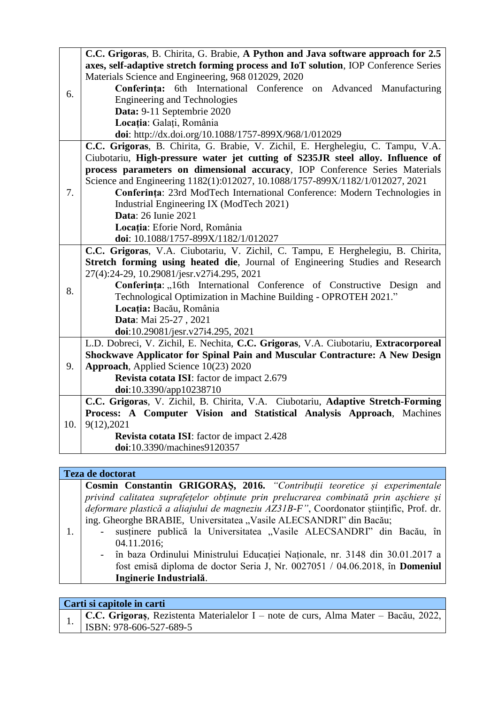|     | C.C. Grigoras, B. Chirita, G. Brabie, A Python and Java software approach for 2.5                                       |
|-----|-------------------------------------------------------------------------------------------------------------------------|
| 6.  | axes, self-adaptive stretch forming process and IoT solution, IOP Conference Series                                     |
|     | Materials Science and Engineering, 968 012029, 2020                                                                     |
|     | Conferința: 6th International Conference on Advanced Manufacturing                                                      |
|     | <b>Engineering and Technologies</b>                                                                                     |
|     | Data: 9-11 Septembrie 2020                                                                                              |
|     | Locația: Galați, România                                                                                                |
|     | doi: http://dx.doi.org/10.1088/1757-899X/968/1/012029                                                                   |
|     | C.C. Grigoras, B. Chirita, G. Brabie, V. Zichil, E. Herghelegiu, C. Tampu, V.A.                                         |
|     | Ciubotariu, High-pressure water jet cutting of S235JR steel alloy. Influence of                                         |
|     | process parameters on dimensional accuracy, IOP Conference Series Materials                                             |
|     | Science and Engineering 1182(1):012027, 10.1088/1757-899X/1182/1/012027, 2021                                           |
| 7.  | Conferința: 23rd ModTech International Conference: Modern Technologies in                                               |
|     | Industrial Engineering IX (ModTech 2021)                                                                                |
|     | <b>Data: 26 Iunie 2021</b>                                                                                              |
|     | Locația: Eforie Nord, România                                                                                           |
|     | doi: 10.1088/1757-899X/1182/1/012027<br>C.C. Grigoras, V.A. Ciubotariu, V. Zichil, C. Tampu, E Herghelegiu, B. Chirita, |
|     | Stretch forming using heated die, Journal of Engineering Studies and Research                                           |
|     | 27(4):24-29, 10.29081/jesr.v27i4.295, 2021                                                                              |
|     | Conferința: "16th International Conference of Constructive Design and                                                   |
| 8.  | Technological Optimization in Machine Building - OPROTEH 2021."                                                         |
|     | Locația: Bacău, România                                                                                                 |
|     | Data: Mai 25-27, 2021                                                                                                   |
|     | doi:10.29081/jesr.v27i4.295, 2021                                                                                       |
|     | L.D. Dobreci, V. Zichil, E. Nechita, C.C. Grigoras, V.A. Ciubotariu, Extracorporeal                                     |
|     | Shockwave Applicator for Spinal Pain and Muscular Contracture: A New Design                                             |
| 9.  | Approach, Applied Science 10(23) 2020                                                                                   |
|     | Revista cotata ISI: factor de impact 2.679                                                                              |
|     | doi:10.3390/app10238710                                                                                                 |
| 10. | C.C. Grigoras, V. Zichil, B. Chirita, V.A. Ciubotariu, Adaptive Stretch-Forming                                         |
|     | Process: A Computer Vision and Statistical Analysis Approach, Machines                                                  |
|     | 9(12), 2021                                                                                                             |
|     | Revista cotata ISI: factor de impact 2.428                                                                              |
|     | doi:10.3390/machines9120357                                                                                             |

### **Teza de doctorat**

**Cosmin Constantin GRIGORAŞ, 2016.** *"Contribuții teoretice și experimentale privind calitatea suprafețelor obținute prin prelucrarea combinată prin așchiere și deformare plastică a aliajului de magneziu AZ31B-F"*, Coordonator științific, Prof. dr. ing. Gheorghe BRABIE, Universitatea "Vasile ALECSANDRI" din Bacău;

- 1. - susținere publică la Universitatea "Vasile ALECSANDRI" din Bacău, în 04.11.2016;
	- în baza Ordinului Ministrului Educației Naționale, nr. 3148 din 30.01.2017 a fost emisă diploma de doctor Seria J, Nr. 0027051 / 04.06.2018, în **Domeniul Inginerie Industrială**.

## **Carti si capitole in carti**

1. **C.C. Grigoraș**, Rezistenta Materialelor I – note de curs, Alma Mater – Bacău, 2022, ISBN: 978-606-527-689-5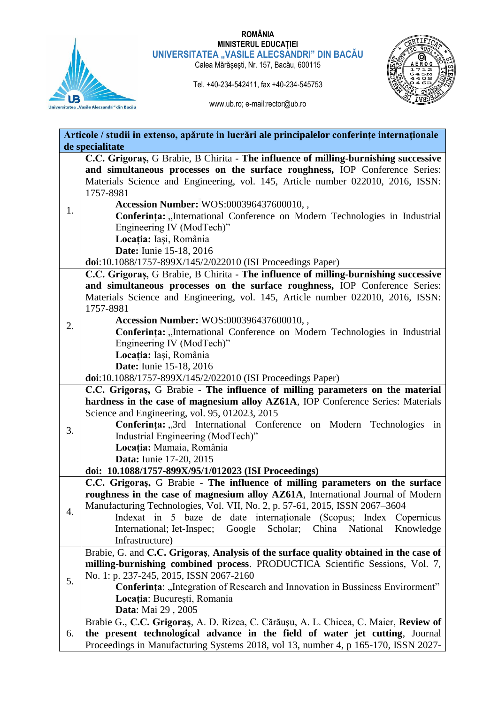

#### **ROMÂNIA MINISTERUL EDUCAȚIEI** UNIVERSITATEA "VASILE ALECSANDRI" DIN BACAU

Calea Mărăşeşti, Nr. 157, Bacău, 600115

Tel. +40-234-542411, fax +40-234-545753



www.ub.ro; e-mail:rector@ub.ro

|                 | Articole / studii in extenso, apărute in lucrări ale principalelor conferințe internaționale                                                      |  |  |
|-----------------|---------------------------------------------------------------------------------------------------------------------------------------------------|--|--|
| de specialitate |                                                                                                                                                   |  |  |
| 1.              | C.C. Grigoraș, G Brabie, B Chirita - The influence of milling-burnishing successive                                                               |  |  |
|                 | and simultaneous processes on the surface roughness, IOP Conference Series:                                                                       |  |  |
|                 | Materials Science and Engineering, vol. 145, Article number 022010, 2016, ISSN:                                                                   |  |  |
|                 | 1757-8981                                                                                                                                         |  |  |
|                 | <b>Accession Number: WOS:000396437600010,,</b>                                                                                                    |  |  |
|                 | Conferința: "International Conference on Modern Technologies in Industrial                                                                        |  |  |
|                 | Engineering IV (ModTech)"                                                                                                                         |  |  |
|                 | Locația: Iași, România                                                                                                                            |  |  |
|                 | <b>Date:</b> Iunie 15-18, 2016                                                                                                                    |  |  |
|                 | doi:10.1088/1757-899X/145/2/022010 (ISI Proceedings Paper)<br>C.C. Grigoras, G Brabie, B Chirita - The influence of milling-burnishing successive |  |  |
|                 | and simultaneous processes on the surface roughness, IOP Conference Series:                                                                       |  |  |
|                 | Materials Science and Engineering, vol. 145, Article number 022010, 2016, ISSN:                                                                   |  |  |
|                 | 1757-8981                                                                                                                                         |  |  |
|                 | Accession Number: WOS:000396437600010,,                                                                                                           |  |  |
| 2.              | Conferința: "International Conference on Modern Technologies in Industrial                                                                        |  |  |
|                 | Engineering IV (ModTech)"                                                                                                                         |  |  |
|                 | Locația: Iași, România                                                                                                                            |  |  |
|                 | <b>Date:</b> Iunie 15-18, 2016                                                                                                                    |  |  |
|                 | doi:10.1088/1757-899X/145/2/022010 (ISI Proceedings Paper)                                                                                        |  |  |
|                 | C.C. Grigoraș, G Brabie - The influence of milling parameters on the material                                                                     |  |  |
|                 | hardness in the case of magnesium alloy AZ61A, IOP Conference Series: Materials                                                                   |  |  |
|                 | Science and Engineering, vol. 95, 012023, 2015                                                                                                    |  |  |
| 3.              | Conferința: "3rd International Conference on Modern Technologies in                                                                               |  |  |
|                 | Industrial Engineering (ModTech)"                                                                                                                 |  |  |
|                 | Locația: Mamaia, România                                                                                                                          |  |  |
|                 | Data: Iunie 17-20, 2015                                                                                                                           |  |  |
|                 | doi: 10.1088/1757-899X/95/1/012023 (ISI Proceedings)<br>C.C. Grigoras, G Brabie - The influence of milling parameters on the surface              |  |  |
|                 | roughness in the case of magnesium alloy AZ61A, International Journal of Modern                                                                   |  |  |
|                 | Manufacturing Technologies, Vol. VII, No. 2, p. 57-61, 2015, ISSN 2067-3604                                                                       |  |  |
| 4.              | Indexat in 5 baze de date internaționale (Scopus; Index Copernicus                                                                                |  |  |
|                 | Google<br>Scholar; China<br>National<br>International; Iet-Inspec;<br>Knowledge                                                                   |  |  |
|                 | Infrastructure)                                                                                                                                   |  |  |
|                 | Brabie, G. and C.C. Grigoras, Analysis of the surface quality obtained in the case of                                                             |  |  |
|                 | milling-burnishing combined process. PRODUCTICA Scientific Sessions, Vol. 7,                                                                      |  |  |
| 5.              | No. 1: p. 237-245, 2015, ISSN 2067-2160                                                                                                           |  |  |
|                 | Conferința: "Integration of Research and Innovation in Bussiness Envirorment"                                                                     |  |  |
|                 | Locația: București, Romania                                                                                                                       |  |  |
|                 | Data: Mai 29, 2005                                                                                                                                |  |  |
| 6.              | Brabie G., C.C. Grigoraș, A. D. Rizea, C. Cărăușu, A. L. Chicea, C. Maier, Review of                                                              |  |  |
|                 | the present technological advance in the field of water jet cutting, Journal                                                                      |  |  |
|                 | Proceedings in Manufacturing Systems 2018, vol 13, number 4, p 165-170, ISSN 2027-                                                                |  |  |